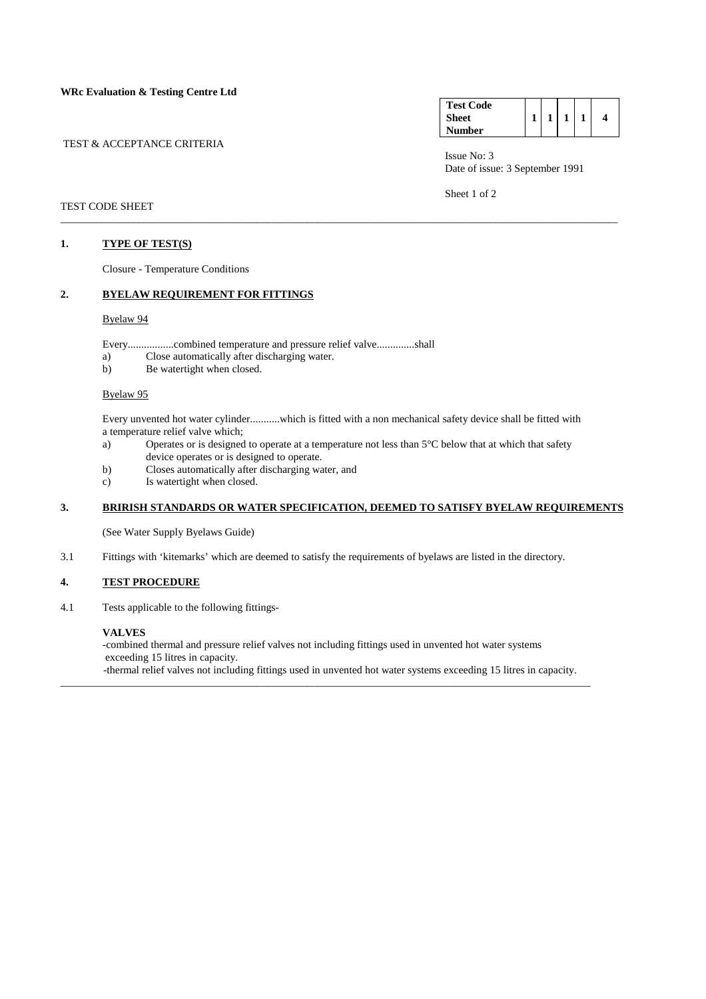#### **WRc Evaluation & Testing Centre Ltd**

#### TEST & ACCEPTANCE CRITERIA

| <b>Test Code</b> |  |  |   |
|------------------|--|--|---|
| <b>Sheet</b>     |  |  | 4 |
| Number           |  |  |   |

 Issue No: 3 Date of issue: 3 September 1991

Sheet 1 of 2

#### TEST CODE SHEET

## **1. TYPE OF TEST(S)**

Closure - Temperature Conditions

# **2. BYELAW REQUIREMENT FOR FITTINGS**

#### Byelaw 94

Every.................combined temperature and pressure relief valve..............shall

- a) Close automatically after discharging water.
- b) Be watertight when closed.

# Byelaw 95

Every unvented hot water cylinder...........which is fitted with a non mechanical safety device shall be fitted with a temperature relief valve which;

\_\_\_\_\_\_\_\_\_\_\_\_\_\_\_\_\_\_\_\_\_\_\_\_\_\_\_\_\_\_\_\_\_\_\_\_\_\_\_\_\_\_\_\_\_\_\_\_\_\_\_\_\_\_\_\_\_\_\_\_\_\_\_\_\_\_\_\_\_\_\_\_\_\_\_\_\_\_\_\_\_\_\_\_\_\_\_\_\_\_\_\_\_\_\_\_\_\_\_\_\_\_\_

- a) Operates or is designed to operate at a temperature not less than 5°C below that at which that safety device operates or is designed to operate.
- b) Closes automatically after discharging water, and
- c) Is watertight when closed.

# **3. BRIRISH STANDARDS OR WATER SPECIFICATION, DEEMED TO SATISFY BYELAW REQUIREMENTS**

(See Water Supply Byelaws Guide)

3.1 Fittings with 'kitemarks' which are deemed to satisfy the requirements of byelaws are listed in the directory.

# **4. TEST PROCEDURE**

4.1 Tests applicable to the following fittings-

#### **VALVES**

 -combined thermal and pressure relief valves not including fittings used in unvented hot water systems exceeding 15 litres in capacity. -thermal relief valves not including fittings used in unvented hot water systems exceeding 15 litres in capacity.

\_\_\_\_\_\_\_\_\_\_\_\_\_\_\_\_\_\_\_\_\_\_\_\_\_\_\_\_\_\_\_\_\_\_\_\_\_\_\_\_\_\_\_\_\_\_\_\_\_\_\_\_\_\_\_\_\_\_\_\_\_\_\_\_\_\_\_\_\_\_\_\_\_\_\_\_\_\_\_\_\_\_\_\_\_\_\_\_\_\_\_\_\_\_\_\_\_\_